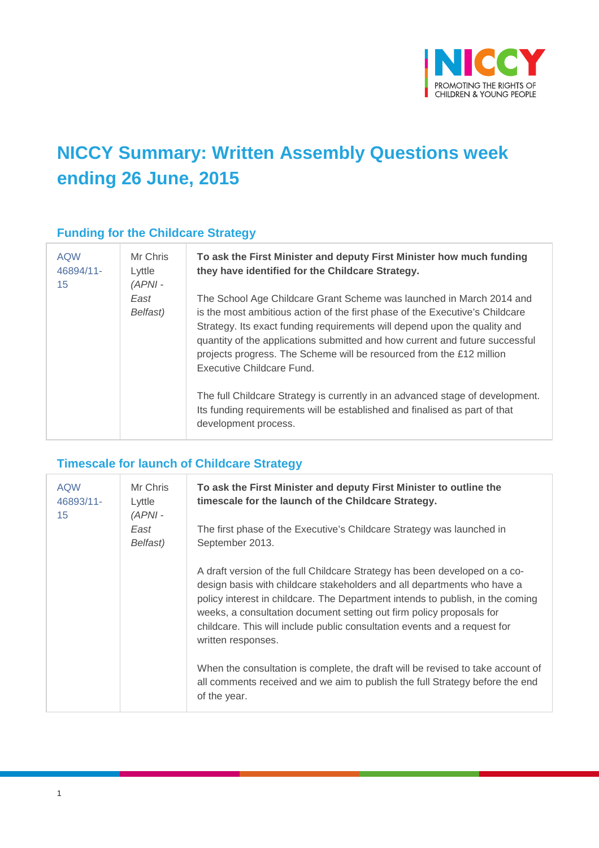

# **NICCY Summary: Written Assembly Questions week ending 26 June, 2015**

## **Funding for the Childcare Strategy**

| <b>AQW</b><br>46894/11-<br>15 | Mr Chris<br>Lyttle<br>$(APNI -$ | To ask the First Minister and deputy First Minister how much funding<br>they have identified for the Childcare Strategy.                                                                                                                                                                                                                                                                                               |
|-------------------------------|---------------------------------|------------------------------------------------------------------------------------------------------------------------------------------------------------------------------------------------------------------------------------------------------------------------------------------------------------------------------------------------------------------------------------------------------------------------|
|                               | East<br>Belfast)                | The School Age Childcare Grant Scheme was launched in March 2014 and<br>is the most ambitious action of the first phase of the Executive's Childcare<br>Strategy. Its exact funding requirements will depend upon the quality and<br>quantity of the applications submitted and how current and future successful<br>projects progress. The Scheme will be resourced from the £12 million<br>Executive Childcare Fund. |
|                               |                                 | The full Childcare Strategy is currently in an advanced stage of development.<br>Its funding requirements will be established and finalised as part of that<br>development process.                                                                                                                                                                                                                                    |

## **Timescale for launch of Childcare Strategy**

| <b>AQW</b><br>46893/11-<br>15 | Mr Chris<br>Lyttle<br>$(APNI -$ | To ask the First Minister and deputy First Minister to outline the<br>timescale for the launch of the Childcare Strategy.                                                                                                                                                                                                                                                                                          |
|-------------------------------|---------------------------------|--------------------------------------------------------------------------------------------------------------------------------------------------------------------------------------------------------------------------------------------------------------------------------------------------------------------------------------------------------------------------------------------------------------------|
|                               | East<br>Belfast)                | The first phase of the Executive's Childcare Strategy was launched in<br>September 2013.                                                                                                                                                                                                                                                                                                                           |
|                               |                                 | A draft version of the full Childcare Strategy has been developed on a co-<br>design basis with childcare stakeholders and all departments who have a<br>policy interest in childcare. The Department intends to publish, in the coming<br>weeks, a consultation document setting out firm policy proposals for<br>childcare. This will include public consultation events and a request for<br>written responses. |
|                               |                                 | When the consultation is complete, the draft will be revised to take account of<br>all comments received and we aim to publish the full Strategy before the end<br>of the year.                                                                                                                                                                                                                                    |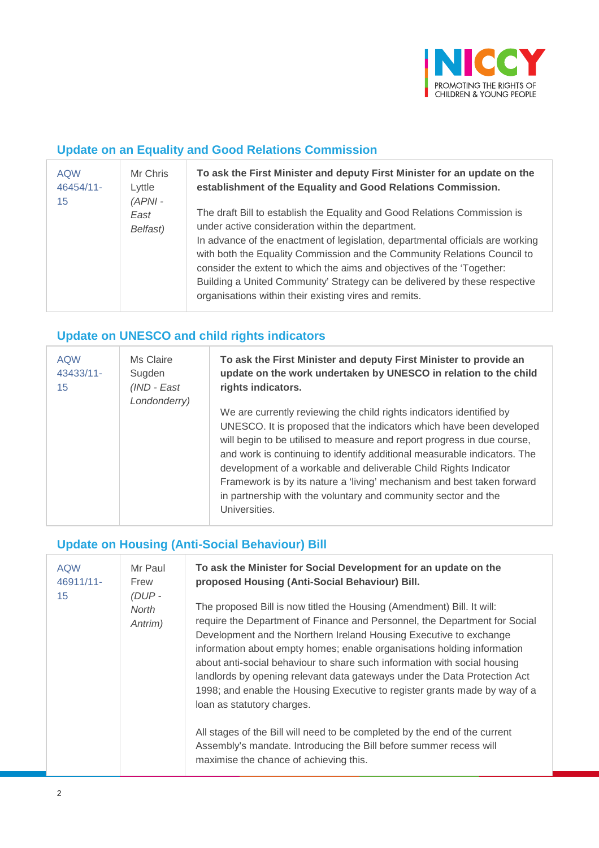

#### **Update on an Equality and Good Relations Commission**

| <b>AQW</b><br>46454/11-<br>15 | Mr Chris<br>Lyttle<br>$(APNI -$<br>East<br>Belfast) | To ask the First Minister and deputy First Minister for an update on the<br>establishment of the Equality and Good Relations Commission.<br>The draft Bill to establish the Equality and Good Relations Commission is<br>under active consideration within the department.<br>In advance of the enactment of legislation, departmental officials are working<br>with both the Equality Commission and the Community Relations Council to<br>consider the extent to which the aims and objectives of the 'Together:<br>Building a United Community' Strategy can be delivered by these respective<br>organisations within their existing vires and remits. |
|-------------------------------|-----------------------------------------------------|-----------------------------------------------------------------------------------------------------------------------------------------------------------------------------------------------------------------------------------------------------------------------------------------------------------------------------------------------------------------------------------------------------------------------------------------------------------------------------------------------------------------------------------------------------------------------------------------------------------------------------------------------------------|
|                               |                                                     |                                                                                                                                                                                                                                                                                                                                                                                                                                                                                                                                                                                                                                                           |

## **Update on UNESCO and child rights indicators**

| <b>AQW</b><br>43433/11-<br>15 | Ms Claire<br>Sugden<br>(IND - East<br>Londonderry) | To ask the First Minister and deputy First Minister to provide an<br>update on the work undertaken by UNESCO in relation to the child<br>rights indicators.                                                                                                                                                                                                                                                                                                                                                                          |
|-------------------------------|----------------------------------------------------|--------------------------------------------------------------------------------------------------------------------------------------------------------------------------------------------------------------------------------------------------------------------------------------------------------------------------------------------------------------------------------------------------------------------------------------------------------------------------------------------------------------------------------------|
|                               |                                                    | We are currently reviewing the child rights indicators identified by<br>UNESCO. It is proposed that the indicators which have been developed<br>will begin to be utilised to measure and report progress in due course,<br>and work is continuing to identify additional measurable indicators. The<br>development of a workable and deliverable Child Rights Indicator<br>Framework is by its nature a 'living' mechanism and best taken forward<br>in partnership with the voluntary and community sector and the<br>Universities. |

## **Update on Housing (Anti-Social Behaviour) Bill**

| <b>AQW</b><br>46911/11-<br>15 | Mr Paul<br>Frew<br>$(DUP -$<br><b>North</b><br>Antrim) | To ask the Minister for Social Development for an update on the<br>proposed Housing (Anti-Social Behaviour) Bill.<br>The proposed Bill is now titled the Housing (Amendment) Bill. It will:<br>require the Department of Finance and Personnel, the Department for Social<br>Development and the Northern Ireland Housing Executive to exchange<br>information about empty homes; enable organisations holding information<br>about anti-social behaviour to share such information with social housing<br>landlords by opening relevant data gateways under the Data Protection Act<br>1998; and enable the Housing Executive to register grants made by way of a<br>loan as statutory charges.<br>All stages of the Bill will need to be completed by the end of the current<br>Assembly's mandate. Introducing the Bill before summer recess will<br>maximise the chance of achieving this. |
|-------------------------------|--------------------------------------------------------|------------------------------------------------------------------------------------------------------------------------------------------------------------------------------------------------------------------------------------------------------------------------------------------------------------------------------------------------------------------------------------------------------------------------------------------------------------------------------------------------------------------------------------------------------------------------------------------------------------------------------------------------------------------------------------------------------------------------------------------------------------------------------------------------------------------------------------------------------------------------------------------------|
|-------------------------------|--------------------------------------------------------|------------------------------------------------------------------------------------------------------------------------------------------------------------------------------------------------------------------------------------------------------------------------------------------------------------------------------------------------------------------------------------------------------------------------------------------------------------------------------------------------------------------------------------------------------------------------------------------------------------------------------------------------------------------------------------------------------------------------------------------------------------------------------------------------------------------------------------------------------------------------------------------------|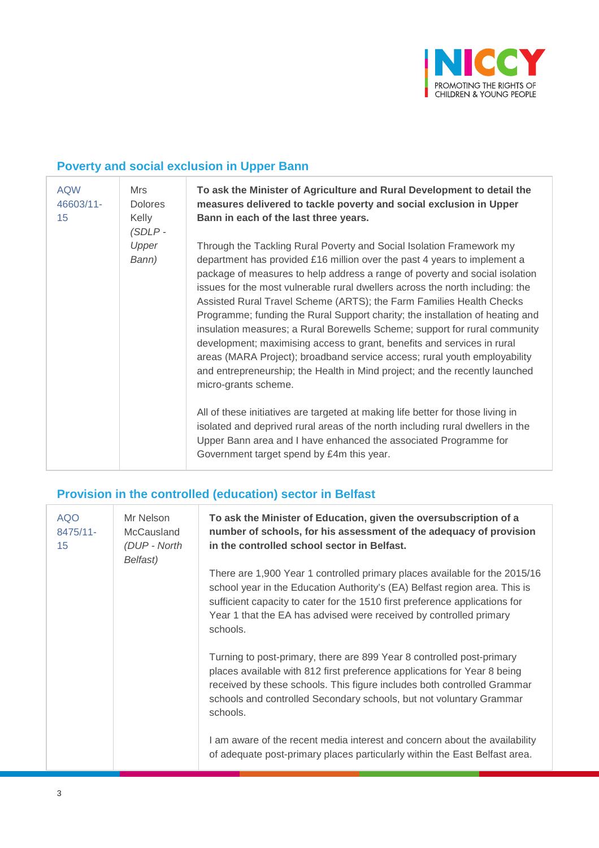

## **Poverty and social exclusion in Upper Bann**

| <b>AQW</b><br>46603/11-<br>15 | Mrs<br><b>Dolores</b><br>Kelly<br>$(SDLP -$ | To ask the Minister of Agriculture and Rural Development to detail the<br>measures delivered to tackle poverty and social exclusion in Upper<br>Bann in each of the last three years.                                                                                                                                                                                                                                                                                                                                                                                                                                                                                                                                                                                                                                  |
|-------------------------------|---------------------------------------------|------------------------------------------------------------------------------------------------------------------------------------------------------------------------------------------------------------------------------------------------------------------------------------------------------------------------------------------------------------------------------------------------------------------------------------------------------------------------------------------------------------------------------------------------------------------------------------------------------------------------------------------------------------------------------------------------------------------------------------------------------------------------------------------------------------------------|
|                               | Upper<br>Bann)                              | Through the Tackling Rural Poverty and Social Isolation Framework my<br>department has provided £16 million over the past 4 years to implement a<br>package of measures to help address a range of poverty and social isolation<br>issues for the most vulnerable rural dwellers across the north including: the<br>Assisted Rural Travel Scheme (ARTS); the Farm Families Health Checks<br>Programme; funding the Rural Support charity; the installation of heating and<br>insulation measures; a Rural Borewells Scheme; support for rural community<br>development; maximising access to grant, benefits and services in rural<br>areas (MARA Project); broadband service access; rural youth employability<br>and entrepreneurship; the Health in Mind project; and the recently launched<br>micro-grants scheme. |
|                               |                                             | All of these initiatives are targeted at making life better for those living in<br>isolated and deprived rural areas of the north including rural dwellers in the<br>Upper Bann area and I have enhanced the associated Programme for<br>Government target spend by £4m this year.                                                                                                                                                                                                                                                                                                                                                                                                                                                                                                                                     |

# **Provision in the controlled (education) sector in Belfast**

| <b>AQO</b><br>8475/11-<br>15 | Mr Nelson<br>McCausland<br>(DUP - North<br>Belfast) | To ask the Minister of Education, given the oversubscription of a<br>number of schools, for his assessment of the adequacy of provision<br>in the controlled school sector in Belfast.                                                                                                                                    |
|------------------------------|-----------------------------------------------------|---------------------------------------------------------------------------------------------------------------------------------------------------------------------------------------------------------------------------------------------------------------------------------------------------------------------------|
|                              |                                                     | There are 1,900 Year 1 controlled primary places available for the 2015/16<br>school year in the Education Authority's (EA) Belfast region area. This is<br>sufficient capacity to cater for the 1510 first preference applications for<br>Year 1 that the EA has advised were received by controlled primary<br>schools. |
|                              |                                                     | Turning to post-primary, there are 899 Year 8 controlled post-primary<br>places available with 812 first preference applications for Year 8 being<br>received by these schools. This figure includes both controlled Grammar<br>schools and controlled Secondary schools, but not voluntary Grammar<br>schools.           |
|                              |                                                     | I am aware of the recent media interest and concern about the availability<br>of adequate post-primary places particularly within the East Belfast area.                                                                                                                                                                  |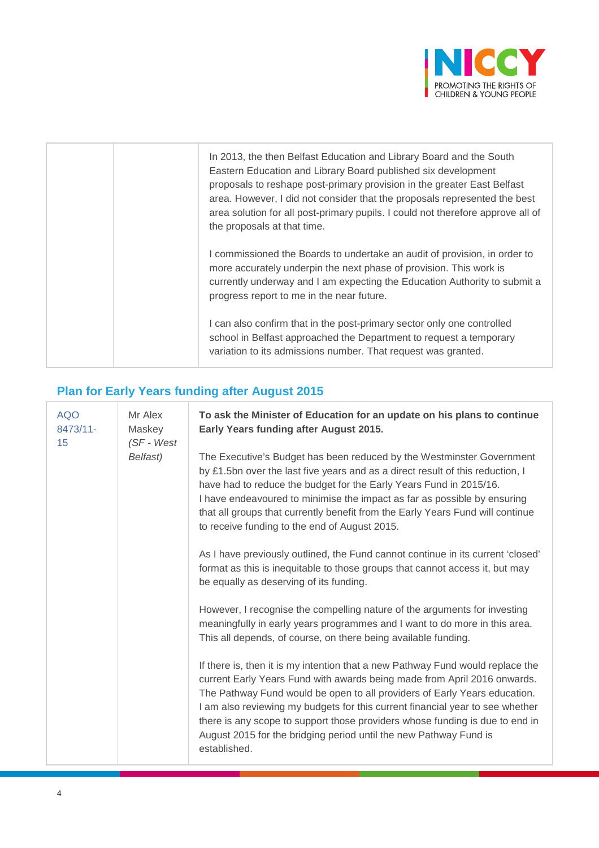

| In 2013, the then Belfast Education and Library Board and the South<br>Eastern Education and Library Board published six development<br>proposals to reshape post-primary provision in the greater East Belfast<br>area. However, I did not consider that the proposals represented the best<br>area solution for all post-primary pupils. I could not therefore approve all of<br>the proposals at that time. |
|----------------------------------------------------------------------------------------------------------------------------------------------------------------------------------------------------------------------------------------------------------------------------------------------------------------------------------------------------------------------------------------------------------------|
| I commissioned the Boards to undertake an audit of provision, in order to<br>more accurately underpin the next phase of provision. This work is<br>currently underway and I am expecting the Education Authority to submit a<br>progress report to me in the near future.                                                                                                                                      |
| I can also confirm that in the post-primary sector only one controlled<br>school in Belfast approached the Department to request a temporary<br>variation to its admissions number. That request was granted.                                                                                                                                                                                                  |

# **Plan for Early Years funding after August 2015**

| <b>AQO</b><br>8473/11-<br>15 | Mr Alex<br>Maskey<br>$(SF - West)$ | To ask the Minister of Education for an update on his plans to continue<br>Early Years funding after August 2015.                                                                                                                                                                                                                                                                                                                                                                             |
|------------------------------|------------------------------------|-----------------------------------------------------------------------------------------------------------------------------------------------------------------------------------------------------------------------------------------------------------------------------------------------------------------------------------------------------------------------------------------------------------------------------------------------------------------------------------------------|
|                              | Belfast)                           | The Executive's Budget has been reduced by the Westminster Government<br>by £1.5bn over the last five years and as a direct result of this reduction, I<br>have had to reduce the budget for the Early Years Fund in 2015/16.<br>I have endeavoured to minimise the impact as far as possible by ensuring<br>that all groups that currently benefit from the Early Years Fund will continue<br>to receive funding to the end of August 2015.                                                  |
|                              |                                    | As I have previously outlined, the Fund cannot continue in its current 'closed'<br>format as this is inequitable to those groups that cannot access it, but may<br>be equally as deserving of its funding.                                                                                                                                                                                                                                                                                    |
|                              |                                    | However, I recognise the compelling nature of the arguments for investing<br>meaningfully in early years programmes and I want to do more in this area.<br>This all depends, of course, on there being available funding.                                                                                                                                                                                                                                                                     |
|                              |                                    | If there is, then it is my intention that a new Pathway Fund would replace the<br>current Early Years Fund with awards being made from April 2016 onwards.<br>The Pathway Fund would be open to all providers of Early Years education.<br>I am also reviewing my budgets for this current financial year to see whether<br>there is any scope to support those providers whose funding is due to end in<br>August 2015 for the bridging period until the new Pathway Fund is<br>established. |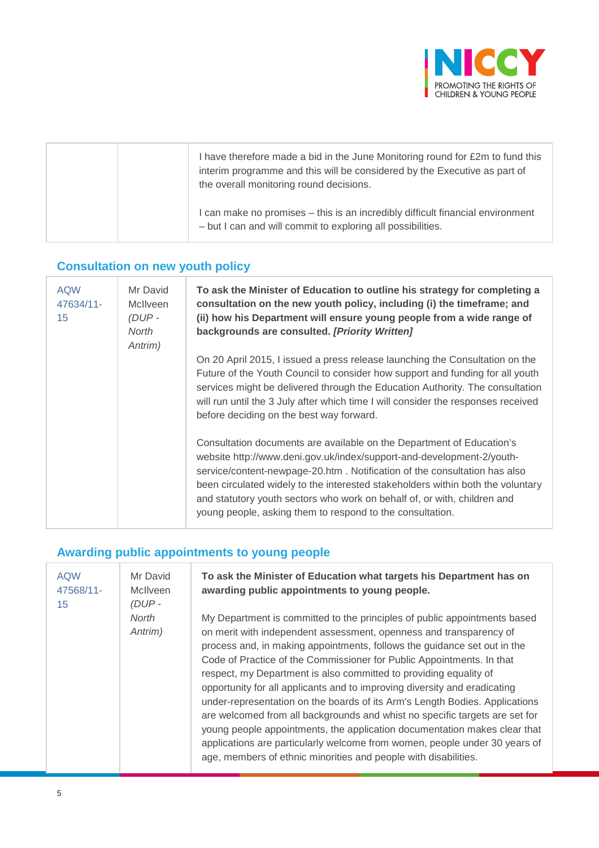

| I have therefore made a bid in the June Monitoring round for £2m to fund this<br>interim programme and this will be considered by the Executive as part of<br>the overall monitoring round decisions. |
|-------------------------------------------------------------------------------------------------------------------------------------------------------------------------------------------------------|
| I can make no promises – this is an incredibly difficult financial environment<br>- but I can and will commit to exploring all possibilities.                                                         |

#### **Consultation on new youth policy**

| <b>AQW</b><br>47634/11-<br>15 | Mr David<br>McIlveen<br>$(DUP -$<br>North<br>Antrim) | To ask the Minister of Education to outline his strategy for completing a<br>consultation on the new youth policy, including (i) the timeframe; and<br>(ii) how his Department will ensure young people from a wide range of<br>backgrounds are consulted. [Priority Written]                                                                                                                                                                           |
|-------------------------------|------------------------------------------------------|---------------------------------------------------------------------------------------------------------------------------------------------------------------------------------------------------------------------------------------------------------------------------------------------------------------------------------------------------------------------------------------------------------------------------------------------------------|
|                               |                                                      | On 20 April 2015, I issued a press release launching the Consultation on the<br>Future of the Youth Council to consider how support and funding for all youth<br>services might be delivered through the Education Authority. The consultation<br>will run until the 3 July after which time I will consider the responses received<br>before deciding on the best way forward.                                                                         |
|                               |                                                      | Consultation documents are available on the Department of Education's<br>website http://www.deni.gov.uk/index/support-and-development-2/youth-<br>service/content-newpage-20.htm. Notification of the consultation has also<br>been circulated widely to the interested stakeholders within both the voluntary<br>and statutory youth sectors who work on behalf of, or with, children and<br>young people, asking them to respond to the consultation. |

#### **Awarding public appointments to young people**

| <b>AQW</b><br>47568/11-<br>15 | Mr David<br><b>McIlveen</b><br>(DUP-<br>North<br>Antrim) | To ask the Minister of Education what targets his Department has on<br>awarding public appointments to young people.<br>My Department is committed to the principles of public appointments based<br>on merit with independent assessment, openness and transparency of<br>process and, in making appointments, follows the guidance set out in the<br>Code of Practice of the Commissioner for Public Appointments. In that<br>respect, my Department is also committed to providing equality of<br>opportunity for all applicants and to improving diversity and eradicating<br>under-representation on the boards of its Arm's Length Bodies. Applications<br>are welcomed from all backgrounds and whist no specific targets are set for<br>young people appointments, the application documentation makes clear that<br>applications are particularly welcome from women, people under 30 years of<br>age, members of ethnic minorities and people with disabilities. |
|-------------------------------|----------------------------------------------------------|----------------------------------------------------------------------------------------------------------------------------------------------------------------------------------------------------------------------------------------------------------------------------------------------------------------------------------------------------------------------------------------------------------------------------------------------------------------------------------------------------------------------------------------------------------------------------------------------------------------------------------------------------------------------------------------------------------------------------------------------------------------------------------------------------------------------------------------------------------------------------------------------------------------------------------------------------------------------------|
|-------------------------------|----------------------------------------------------------|----------------------------------------------------------------------------------------------------------------------------------------------------------------------------------------------------------------------------------------------------------------------------------------------------------------------------------------------------------------------------------------------------------------------------------------------------------------------------------------------------------------------------------------------------------------------------------------------------------------------------------------------------------------------------------------------------------------------------------------------------------------------------------------------------------------------------------------------------------------------------------------------------------------------------------------------------------------------------|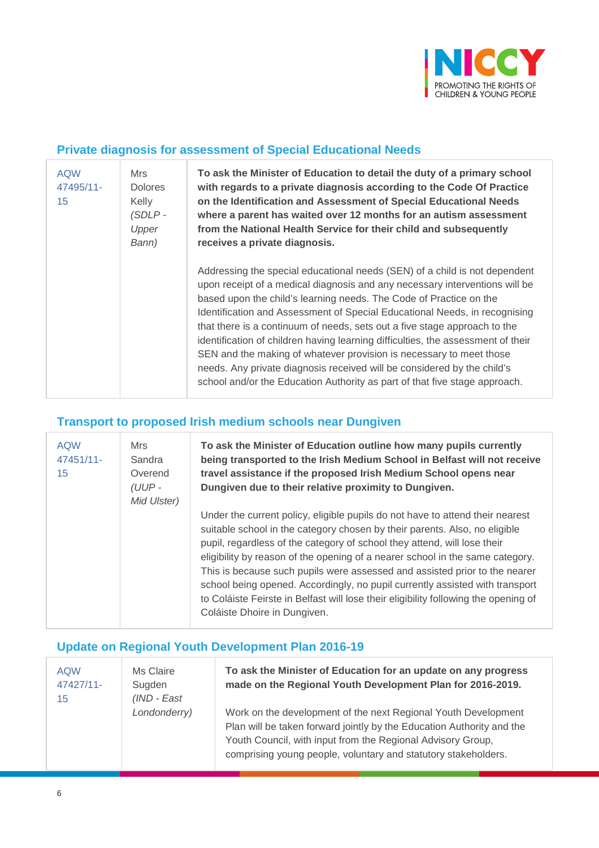

#### **Private diagnosis for assessment of Special Educational Needs**

| <b>AQW</b><br>47495/11-<br>15 | Mrs<br><b>Dolores</b><br>Kelly<br>$(SDLP -$<br>Upper<br>Bann) | To ask the Minister of Education to detail the duty of a primary school<br>with regards to a private diagnosis according to the Code Of Practice<br>on the Identification and Assessment of Special Educational Needs<br>where a parent has waited over 12 months for an autism assessment<br>from the National Health Service for their child and subsequently<br>receives a private diagnosis.                                                                                                                                                                                                                                                                                                               |
|-------------------------------|---------------------------------------------------------------|----------------------------------------------------------------------------------------------------------------------------------------------------------------------------------------------------------------------------------------------------------------------------------------------------------------------------------------------------------------------------------------------------------------------------------------------------------------------------------------------------------------------------------------------------------------------------------------------------------------------------------------------------------------------------------------------------------------|
|                               |                                                               | Addressing the special educational needs (SEN) of a child is not dependent<br>upon receipt of a medical diagnosis and any necessary interventions will be<br>based upon the child's learning needs. The Code of Practice on the<br>Identification and Assessment of Special Educational Needs, in recognising<br>that there is a continuum of needs, sets out a five stage approach to the<br>identification of children having learning difficulties, the assessment of their<br>SEN and the making of whatever provision is necessary to meet those<br>needs. Any private diagnosis received will be considered by the child's<br>school and/or the Education Authority as part of that five stage approach. |

## **Transport to proposed Irish medium schools near Dungiven**

| <b>AQW</b><br>47451/11-<br>15 | <b>Mrs</b><br>Sandra<br>Overend<br>$(UUP -$<br>Mid Ulster) | To ask the Minister of Education outline how many pupils currently<br>being transported to the Irish Medium School in Belfast will not receive<br>travel assistance if the proposed Irish Medium School opens near<br>Dungiven due to their relative proximity to Dungiven.                                                                                                                                                                                                                                                                                                                                   |
|-------------------------------|------------------------------------------------------------|---------------------------------------------------------------------------------------------------------------------------------------------------------------------------------------------------------------------------------------------------------------------------------------------------------------------------------------------------------------------------------------------------------------------------------------------------------------------------------------------------------------------------------------------------------------------------------------------------------------|
|                               |                                                            | Under the current policy, eligible pupils do not have to attend their nearest<br>suitable school in the category chosen by their parents. Also, no eligible<br>pupil, regardless of the category of school they attend, will lose their<br>eligibility by reason of the opening of a nearer school in the same category.<br>This is because such pupils were assessed and assisted prior to the nearer<br>school being opened. Accordingly, no pupil currently assisted with transport<br>to Coláiste Feirste in Belfast will lose their eligibility following the opening of<br>Coláiste Dhoire in Dungiven. |

## **Update on Regional Youth Development Plan 2016-19**

| <b>AQW</b> | Ms Claire    | To ask the Minister of Education for an update on any progress        |
|------------|--------------|-----------------------------------------------------------------------|
| 47427/11-  | Sugden       | made on the Regional Youth Development Plan for 2016-2019.            |
| 15         | (IND - East  |                                                                       |
|            | Londonderry) | Work on the development of the next Regional Youth Development        |
|            |              | Plan will be taken forward jointly by the Education Authority and the |
|            |              | Youth Council, with input from the Regional Advisory Group,           |
|            |              | comprising young people, voluntary and statutory stakeholders.        |
|            |              |                                                                       |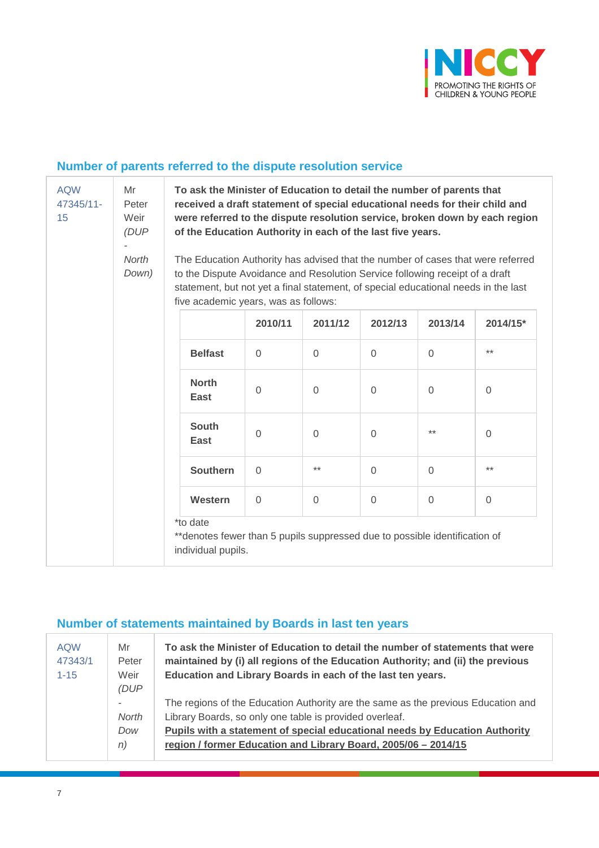

## **Number of parents referred to the dispute resolution service**

| <b>AQW</b><br>47345/11-<br>15 | Mr<br>Peter<br>Weir<br>(DUP)<br>North<br>Down) | To ask the Minister of Education to detail the number of parents that<br>received a draft statement of special educational needs for their child and<br>were referred to the dispute resolution service, broken down by each region<br>of the Education Authority in each of the last five years.<br>The Education Authority has advised that the number of cases that were referred<br>to the Dispute Avoidance and Resolution Service following receipt of a draft<br>statement, but not yet a final statement, of special educational needs in the last<br>five academic years, was as follows: |                |             |          |          |          |
|-------------------------------|------------------------------------------------|----------------------------------------------------------------------------------------------------------------------------------------------------------------------------------------------------------------------------------------------------------------------------------------------------------------------------------------------------------------------------------------------------------------------------------------------------------------------------------------------------------------------------------------------------------------------------------------------------|----------------|-------------|----------|----------|----------|
|                               |                                                |                                                                                                                                                                                                                                                                                                                                                                                                                                                                                                                                                                                                    | 2010/11        | 2011/12     | 2012/13  | 2013/14  | 2014/15* |
|                               |                                                | <b>Belfast</b>                                                                                                                                                                                                                                                                                                                                                                                                                                                                                                                                                                                     | $\Omega$       | $\Omega$    | $\Omega$ | $\Omega$ | $***$    |
|                               |                                                | <b>North</b><br><b>East</b>                                                                                                                                                                                                                                                                                                                                                                                                                                                                                                                                                                        | $\overline{0}$ | $\Omega$    | 0        | $\Omega$ | $\Omega$ |
|                               |                                                | <b>South</b><br><b>East</b>                                                                                                                                                                                                                                                                                                                                                                                                                                                                                                                                                                        | $\mathbf 0$    | $\mathbf 0$ | 0        | $***$    | $\Omega$ |
|                               |                                                | <b>Southern</b>                                                                                                                                                                                                                                                                                                                                                                                                                                                                                                                                                                                    | $\Omega$       | $***$       | $\Omega$ | $\Omega$ | $***$    |
|                               |                                                | Western                                                                                                                                                                                                                                                                                                                                                                                                                                                                                                                                                                                            | $\Omega$       | $\mathbf 0$ | 0        | $\Omega$ | $\Omega$ |
|                               |                                                | *to date<br>**denotes fewer than 5 pupils suppressed due to possible identification of<br>individual pupils.                                                                                                                                                                                                                                                                                                                                                                                                                                                                                       |                |             |          |          |          |

### **Number of statements maintained by Boards in last ten years**

| <b>AQW</b><br>47343/1<br>$1 - 15$ | Mr<br>Peter<br>Weir<br>(DUP)   | To ask the Minister of Education to detail the number of statements that were<br>maintained by (i) all regions of the Education Authority; and (ii) the previous<br>Education and Library Boards in each of the last ten years.                                                               |
|-----------------------------------|--------------------------------|-----------------------------------------------------------------------------------------------------------------------------------------------------------------------------------------------------------------------------------------------------------------------------------------------|
|                                   | ٠<br><b>North</b><br>Dow<br>n) | The regions of the Education Authority are the same as the previous Education and<br>Library Boards, so only one table is provided overleaf.<br>Pupils with a statement of special educational needs by Education Authority<br>region / former Education and Library Board, 2005/06 - 2014/15 |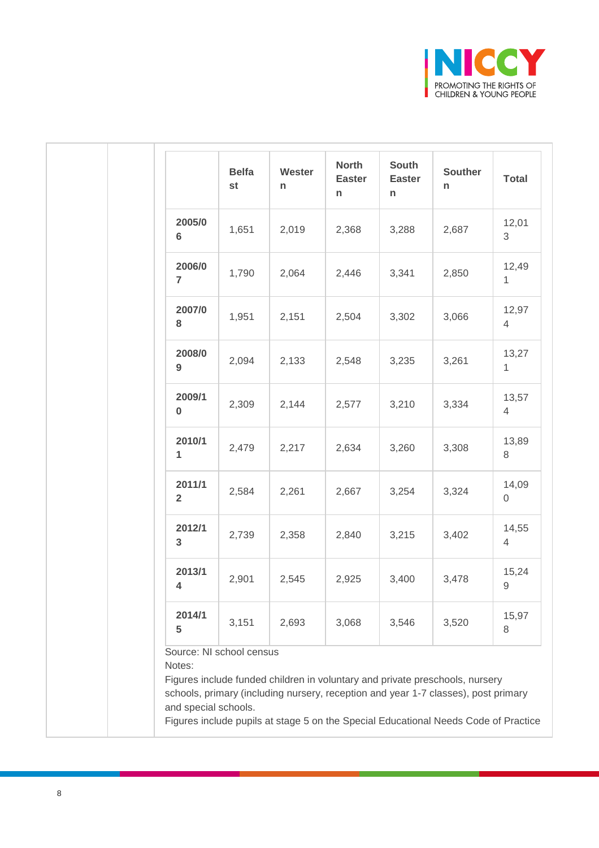

|                          | <b>Belfa</b><br>st | Wester<br>n | <b>North</b><br><b>Easter</b><br>n | South<br><b>Easter</b><br>n | Souther<br>n | <b>Total</b>                 |
|--------------------------|--------------------|-------------|------------------------------------|-----------------------------|--------------|------------------------------|
| 2005/0<br>$6\phantom{1}$ | 1,651              | 2,019       | 2,368                              | 3,288                       | 2,687        | 12,01<br>3                   |
| 2006/0<br>$\overline{7}$ | 1,790              | 2,064       | 2,446                              | 3,341                       | 2,850        | 12,49<br>$\mathbf{1}$        |
| 2007/0<br>8              | 1,951              | 2,151       | 2,504                              | 3,302                       | 3,066        | 12,97<br>$\overline{4}$      |
| 2008/0<br>$9\,$          | 2,094              | 2,133       | 2,548                              | 3,235                       | 3,261        | 13,27<br>$\mathbf{1}$        |
| 2009/1<br>$\bf{0}$       | 2,309              | 2,144       | 2,577                              | 3,210                       | 3,334        | 13,57<br>$\overline{4}$      |
| 2010/1<br>1              | 2,479              | 2,217       | 2,634                              | 3,260                       | 3,308        | 13,89<br>8                   |
| 2011/1<br>$\overline{2}$ | 2,584              | 2,261       | 2,667                              | 3,254                       | 3,324        | 14,09<br>$\mathsf{O}\xspace$ |
| 2012/1<br>$\mathbf{3}$   | 2,739              | 2,358       | 2,840                              | 3,215                       | 3,402        | 14,55<br>$\overline{4}$      |
| 2013/1<br>4              | 2,901              | 2,545       | 2,925                              | 3,400                       | 3,478        | 15,24<br>$\mathsf g$         |
| 2014/1                   | 3,151              | 2,693       | 3,068                              | 3,546                       | 3,520        | 15,97<br>8                   |

Figures include pupils at stage 5 on the Special Educational Needs Code of Practice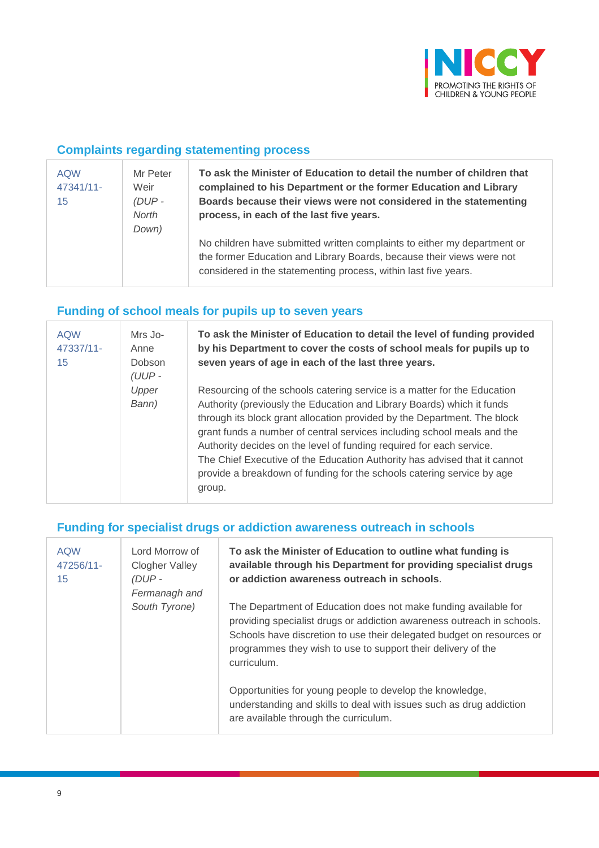

### **Complaints regarding statementing process**

| <b>AQW</b><br>47341/11-<br>15 | Mr Peter<br>Weir<br>$(DUP -$<br>North<br>Down) | To ask the Minister of Education to detail the number of children that<br>complained to his Department or the former Education and Library<br>Boards because their views were not considered in the statementing<br>process, in each of the last five years. |
|-------------------------------|------------------------------------------------|--------------------------------------------------------------------------------------------------------------------------------------------------------------------------------------------------------------------------------------------------------------|
|                               |                                                | No children have submitted written complaints to either my department or<br>the former Education and Library Boards, because their views were not<br>considered in the statementing process, within last five years.                                         |

## **Funding of school meals for pupils up to seven years**

| <b>AQW</b><br>47337/11-<br>15 | Mrs Jo-<br>Anne<br>Dobson<br>$(UUP -$ | To ask the Minister of Education to detail the level of funding provided<br>by his Department to cover the costs of school meals for pupils up to<br>seven years of age in each of the last three years.                                                                                                                                                                                                                                                                                                                                           |
|-------------------------------|---------------------------------------|----------------------------------------------------------------------------------------------------------------------------------------------------------------------------------------------------------------------------------------------------------------------------------------------------------------------------------------------------------------------------------------------------------------------------------------------------------------------------------------------------------------------------------------------------|
|                               | Upper<br>Bann)                        | Resourcing of the schools catering service is a matter for the Education<br>Authority (previously the Education and Library Boards) which it funds<br>through its block grant allocation provided by the Department. The block<br>grant funds a number of central services including school meals and the<br>Authority decides on the level of funding required for each service.<br>The Chief Executive of the Education Authority has advised that it cannot<br>provide a breakdown of funding for the schools catering service by age<br>group. |

#### **Funding for specialist drugs or addiction awareness outreach in schools**

| <b>AQW</b><br>47256/11-<br>15 | Lord Morrow of<br><b>Clogher Valley</b><br>(DUP -<br>Fermanagh and | To ask the Minister of Education to outline what funding is<br>available through his Department for providing specialist drugs<br>or addiction awareness outreach in schools.                                                                                                                     |
|-------------------------------|--------------------------------------------------------------------|---------------------------------------------------------------------------------------------------------------------------------------------------------------------------------------------------------------------------------------------------------------------------------------------------|
|                               | South Tyrone)                                                      | The Department of Education does not make funding available for<br>providing specialist drugs or addiction awareness outreach in schools.<br>Schools have discretion to use their delegated budget on resources or<br>programmes they wish to use to support their delivery of the<br>curriculum. |
|                               |                                                                    | Opportunities for young people to develop the knowledge,<br>understanding and skills to deal with issues such as drug addiction<br>are available through the curriculum.                                                                                                                          |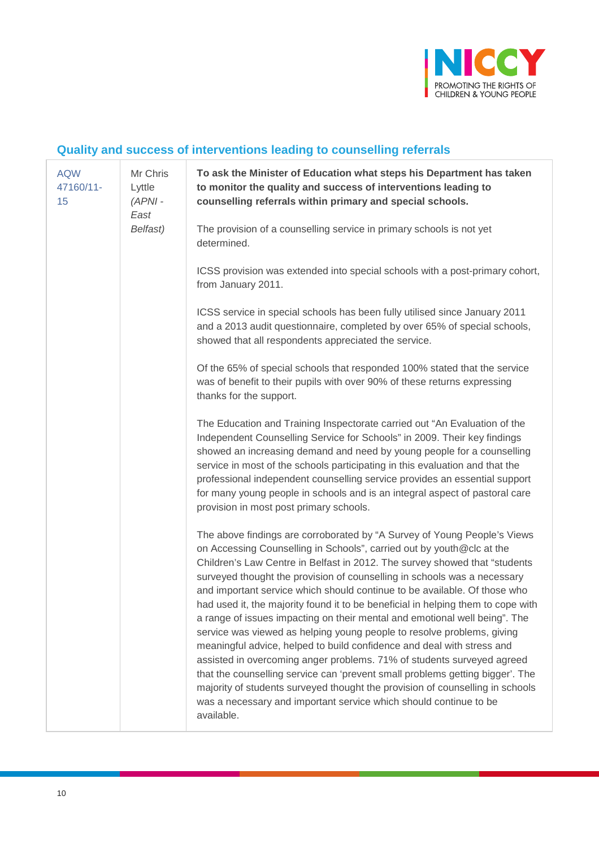

# **Quality and success of interventions leading to counselling referrals**

| <b>AQW</b><br>47160/11-<br>15 | Mr Chris<br>Lyttle<br>$(APNI -$<br>East<br>Belfast) | To ask the Minister of Education what steps his Department has taken<br>to monitor the quality and success of interventions leading to<br>counselling referrals within primary and special schools.                                                                                                                                                                                                                                                                                                                                                                                                                                                                                                                                                                                                                                                                                                                                                                                                                                           |
|-------------------------------|-----------------------------------------------------|-----------------------------------------------------------------------------------------------------------------------------------------------------------------------------------------------------------------------------------------------------------------------------------------------------------------------------------------------------------------------------------------------------------------------------------------------------------------------------------------------------------------------------------------------------------------------------------------------------------------------------------------------------------------------------------------------------------------------------------------------------------------------------------------------------------------------------------------------------------------------------------------------------------------------------------------------------------------------------------------------------------------------------------------------|
|                               |                                                     | The provision of a counselling service in primary schools is not yet<br>determined.                                                                                                                                                                                                                                                                                                                                                                                                                                                                                                                                                                                                                                                                                                                                                                                                                                                                                                                                                           |
|                               |                                                     | ICSS provision was extended into special schools with a post-primary cohort,<br>from January 2011.                                                                                                                                                                                                                                                                                                                                                                                                                                                                                                                                                                                                                                                                                                                                                                                                                                                                                                                                            |
|                               |                                                     | ICSS service in special schools has been fully utilised since January 2011<br>and a 2013 audit questionnaire, completed by over 65% of special schools,<br>showed that all respondents appreciated the service.                                                                                                                                                                                                                                                                                                                                                                                                                                                                                                                                                                                                                                                                                                                                                                                                                               |
|                               |                                                     | Of the 65% of special schools that responded 100% stated that the service<br>was of benefit to their pupils with over 90% of these returns expressing<br>thanks for the support.                                                                                                                                                                                                                                                                                                                                                                                                                                                                                                                                                                                                                                                                                                                                                                                                                                                              |
|                               |                                                     | The Education and Training Inspectorate carried out "An Evaluation of the<br>Independent Counselling Service for Schools" in 2009. Their key findings<br>showed an increasing demand and need by young people for a counselling<br>service in most of the schools participating in this evaluation and that the<br>professional independent counselling service provides an essential support<br>for many young people in schools and is an integral aspect of pastoral care<br>provision in most post primary schools.                                                                                                                                                                                                                                                                                                                                                                                                                                                                                                                       |
|                               |                                                     | The above findings are corroborated by "A Survey of Young People's Views<br>on Accessing Counselling in Schools", carried out by youth@clc at the<br>Children's Law Centre in Belfast in 2012. The survey showed that "students<br>surveyed thought the provision of counselling in schools was a necessary<br>and important service which should continue to be available. Of those who<br>had used it, the majority found it to be beneficial in helping them to cope with<br>a range of issues impacting on their mental and emotional well being". The<br>service was viewed as helping young people to resolve problems, giving<br>meaningful advice, helped to build confidence and deal with stress and<br>assisted in overcoming anger problems. 71% of students surveyed agreed<br>that the counselling service can 'prevent small problems getting bigger'. The<br>majority of students surveyed thought the provision of counselling in schools<br>was a necessary and important service which should continue to be<br>available. |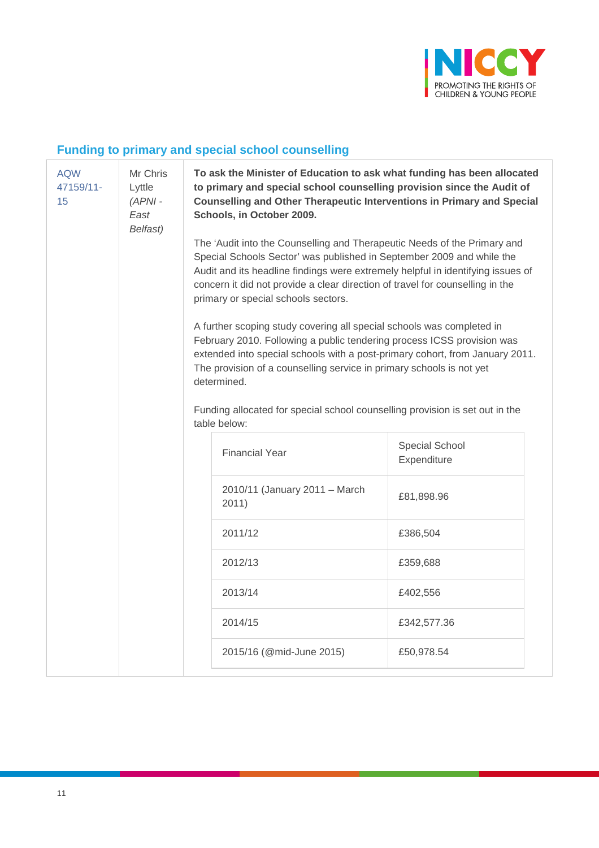

# **Funding to primary and special school counselling**

| <b>AQW</b><br>47159/11-<br>15 | Mr Chris<br>Lyttle<br>$(APNI -$<br>East<br>Belfast) | To ask the Minister of Education to ask what funding has been allocated<br>to primary and special school counselling provision since the Audit of<br>Counselling and Other Therapeutic Interventions in Primary and Special<br>Schools, in October 2009.                                                                                                     |                                                                                              |                               |  |  |  |
|-------------------------------|-----------------------------------------------------|--------------------------------------------------------------------------------------------------------------------------------------------------------------------------------------------------------------------------------------------------------------------------------------------------------------------------------------------------------------|----------------------------------------------------------------------------------------------|-------------------------------|--|--|--|
|                               |                                                     | The 'Audit into the Counselling and Therapeutic Needs of the Primary and<br>Special Schools Sector' was published in September 2009 and while the<br>Audit and its headline findings were extremely helpful in identifying issues of<br>concern it did not provide a clear direction of travel for counselling in the<br>primary or special schools sectors. |                                                                                              |                               |  |  |  |
|                               |                                                     | A further scoping study covering all special schools was completed in<br>February 2010. Following a public tendering process ICSS provision was<br>extended into special schools with a post-primary cohort, from January 2011.<br>The provision of a counselling service in primary schools is not yet<br>determined.                                       |                                                                                              |                               |  |  |  |
|                               |                                                     |                                                                                                                                                                                                                                                                                                                                                              | Funding allocated for special school counselling provision is set out in the<br>table below: |                               |  |  |  |
|                               |                                                     |                                                                                                                                                                                                                                                                                                                                                              | <b>Financial Year</b>                                                                        | Special School<br>Expenditure |  |  |  |
|                               |                                                     |                                                                                                                                                                                                                                                                                                                                                              | 2010/11 (January 2011 - March<br>2011)                                                       | £81,898.96                    |  |  |  |
|                               |                                                     |                                                                                                                                                                                                                                                                                                                                                              | 2011/12                                                                                      | £386,504                      |  |  |  |
|                               |                                                     |                                                                                                                                                                                                                                                                                                                                                              | 2012/13                                                                                      | £359,688                      |  |  |  |
|                               |                                                     |                                                                                                                                                                                                                                                                                                                                                              | 2013/14                                                                                      | £402,556                      |  |  |  |
|                               |                                                     |                                                                                                                                                                                                                                                                                                                                                              | 2014/15                                                                                      | £342,577.36                   |  |  |  |
|                               |                                                     |                                                                                                                                                                                                                                                                                                                                                              | 2015/16 (@mid-June 2015)                                                                     | £50,978.54                    |  |  |  |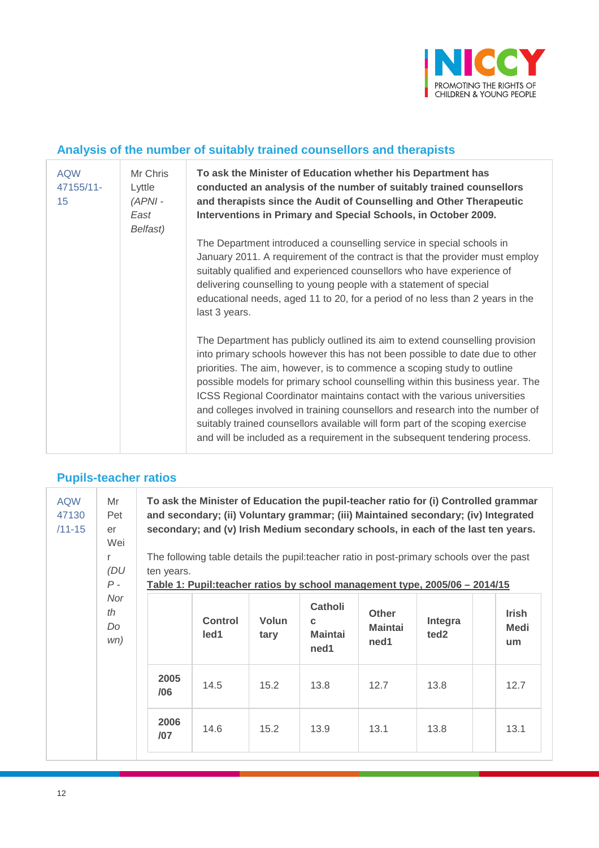

## **Analysis of the number of suitably trained counsellors and therapists**

| <b>AQW</b><br>47155/11-<br>15 | Mr Chris<br>Lyttle<br>$(APNI -$<br>East<br>Belfast) | To ask the Minister of Education whether his Department has<br>conducted an analysis of the number of suitably trained counsellors<br>and therapists since the Audit of Counselling and Other Therapeutic<br>Interventions in Primary and Special Schools, in October 2009.                                                                                                                                                                                                                                                                                                                                                                           |
|-------------------------------|-----------------------------------------------------|-------------------------------------------------------------------------------------------------------------------------------------------------------------------------------------------------------------------------------------------------------------------------------------------------------------------------------------------------------------------------------------------------------------------------------------------------------------------------------------------------------------------------------------------------------------------------------------------------------------------------------------------------------|
|                               |                                                     | The Department introduced a counselling service in special schools in<br>January 2011. A requirement of the contract is that the provider must employ<br>suitably qualified and experienced counsellors who have experience of<br>delivering counselling to young people with a statement of special<br>educational needs, aged 11 to 20, for a period of no less than 2 years in the<br>last 3 years.                                                                                                                                                                                                                                                |
|                               |                                                     | The Department has publicly outlined its aim to extend counselling provision<br>into primary schools however this has not been possible to date due to other<br>priorities. The aim, however, is to commence a scoping study to outline<br>possible models for primary school counselling within this business year. The<br>ICSS Regional Coordinator maintains contact with the various universities<br>and colleges involved in training counsellors and research into the number of<br>suitably trained counsellors available will form part of the scoping exercise<br>and will be included as a requirement in the subsequent tendering process. |

#### **Pupils-teacher ratios**

| <b>AQW</b><br>47130<br>$/11 - 15$ | Mr<br>Pet<br>er<br>Wei<br>r<br>(DU<br>$P -$<br>Nor<br>th<br>Do<br>wn) | To ask the Minister of Education the pupil-teacher ratio for (i) Controlled grammar<br>and secondary; (ii) Voluntary grammar; (iii) Maintained secondary; (iv) Integrated<br>secondary; and (v) Irish Medium secondary schools, in each of the last ten years.<br>The following table details the pupil: teacher ratio in post-primary schools over the past<br>ten years.<br>Table 1: Pupil:teacher ratios by school management type, 2005/06 – 2014/15 |                        |                      |                                                |                                        |                             |                            |  |
|-----------------------------------|-----------------------------------------------------------------------|----------------------------------------------------------------------------------------------------------------------------------------------------------------------------------------------------------------------------------------------------------------------------------------------------------------------------------------------------------------------------------------------------------------------------------------------------------|------------------------|----------------------|------------------------------------------------|----------------------------------------|-----------------------------|----------------------------|--|
|                                   |                                                                       |                                                                                                                                                                                                                                                                                                                                                                                                                                                          | <b>Control</b><br>led1 | <b>Volun</b><br>tary | <b>Catholi</b><br>C.<br><b>Maintai</b><br>ned1 | <b>Other</b><br><b>Maintai</b><br>ned1 | Integra<br>ted <sub>2</sub> | <b>Irish</b><br>Medi<br>um |  |
|                                   |                                                                       | 2005<br>/06                                                                                                                                                                                                                                                                                                                                                                                                                                              | 14.5                   | 15.2                 | 13.8                                           | 12.7                                   | 13.8                        | 12.7                       |  |
|                                   |                                                                       | 2006<br>/07                                                                                                                                                                                                                                                                                                                                                                                                                                              | 14.6                   | 15.2                 | 13.9                                           | 13.1                                   | 13.8                        | 13.1                       |  |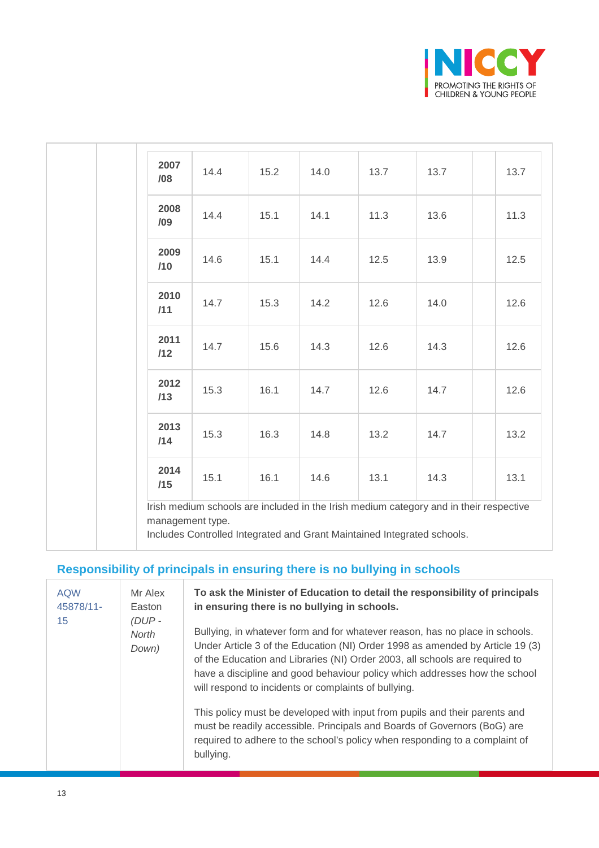

| 2007<br>/08 | 14.4 | 15.2 | 14.0 | 13.7 | 13.7 | 13.7 |
|-------------|------|------|------|------|------|------|
| 2008<br>/09 | 14.4 | 15.1 | 14.1 | 11.3 | 13.6 | 11.3 |
| 2009<br>/10 | 14.6 | 15.1 | 14.4 | 12.5 | 13.9 | 12.5 |
| 2010<br>/11 | 14.7 | 15.3 | 14.2 | 12.6 | 14.0 | 12.6 |
| 2011<br>/12 | 14.7 | 15.6 | 14.3 | 12.6 | 14.3 | 12.6 |
| 2012<br>/13 | 15.3 | 16.1 | 14.7 | 12.6 | 14.7 | 12.6 |
| 2013<br>/14 | 15.3 | 16.3 | 14.8 | 13.2 | 14.7 | 13.2 |
| 2014<br>/15 | 15.1 | 16.1 | 14.6 | 13.1 | 14.3 | 13.1 |

# **Responsibility of principals in ensuring there is no bullying in schools**

| <b>AQW</b><br>45878/11-<br>15 | Mr Alex<br>Easton<br>$(DUP -$ | To ask the Minister of Education to detail the responsibility of principals<br>in ensuring there is no bullying in schools.                                                                                                                                                                                                                                                                                                                                                                                                                                                                                                              |
|-------------------------------|-------------------------------|------------------------------------------------------------------------------------------------------------------------------------------------------------------------------------------------------------------------------------------------------------------------------------------------------------------------------------------------------------------------------------------------------------------------------------------------------------------------------------------------------------------------------------------------------------------------------------------------------------------------------------------|
|                               | <b>North</b><br>Down)         | Bullying, in whatever form and for whatever reason, has no place in schools.<br>Under Article 3 of the Education (NI) Order 1998 as amended by Article 19 (3)<br>of the Education and Libraries (NI) Order 2003, all schools are required to<br>have a discipline and good behaviour policy which addresses how the school<br>will respond to incidents or complaints of bullying.<br>This policy must be developed with input from pupils and their parents and<br>must be readily accessible. Principals and Boards of Governors (BoG) are<br>required to adhere to the school's policy when responding to a complaint of<br>bullying. |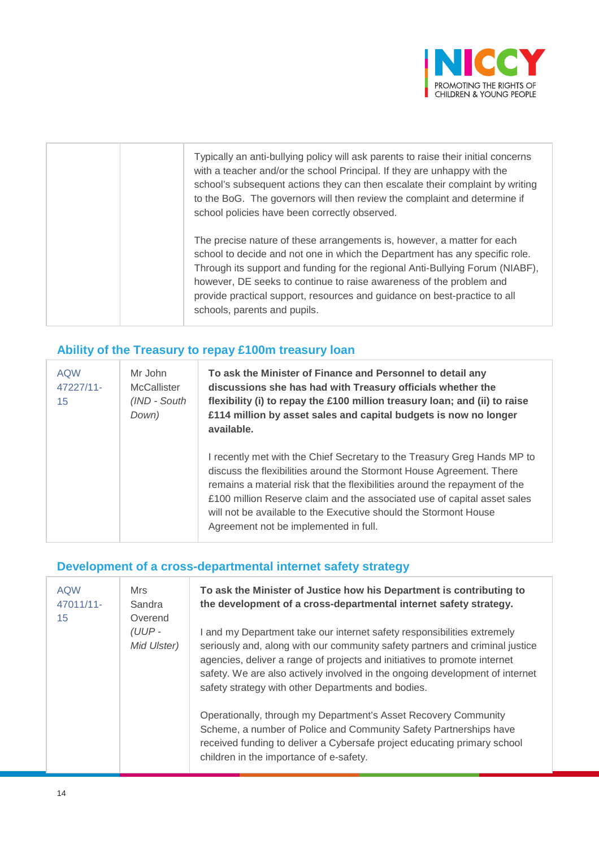

| Typically an anti-bullying policy will ask parents to raise their initial concerns<br>with a teacher and/or the school Principal. If they are unhappy with the<br>school's subsequent actions they can then escalate their complaint by writing<br>to the BoG. The governors will then review the complaint and determine if<br>school policies have been correctly observed.                                               |
|-----------------------------------------------------------------------------------------------------------------------------------------------------------------------------------------------------------------------------------------------------------------------------------------------------------------------------------------------------------------------------------------------------------------------------|
| The precise nature of these arrangements is, however, a matter for each<br>school to decide and not one in which the Department has any specific role.<br>Through its support and funding for the regional Anti-Bullying Forum (NIABF),<br>however, DE seeks to continue to raise awareness of the problem and<br>provide practical support, resources and guidance on best-practice to all<br>schools, parents and pupils. |

## **Ability of the Treasury to repay £100m treasury loan**

| <b>AQW</b><br>47227/11-<br>15 | Mr John<br><b>McCallister</b><br>(IND - South<br>Down) | To ask the Minister of Finance and Personnel to detail any<br>discussions she has had with Treasury officials whether the<br>flexibility (i) to repay the £100 million treasury loan; and (ii) to raise<br>£114 million by asset sales and capital budgets is now no longer<br>available.                                                                                                                               |
|-------------------------------|--------------------------------------------------------|-------------------------------------------------------------------------------------------------------------------------------------------------------------------------------------------------------------------------------------------------------------------------------------------------------------------------------------------------------------------------------------------------------------------------|
|                               |                                                        | I recently met with the Chief Secretary to the Treasury Greg Hands MP to<br>discuss the flexibilities around the Stormont House Agreement. There<br>remains a material risk that the flexibilities around the repayment of the<br>£100 million Reserve claim and the associated use of capital asset sales<br>will not be available to the Executive should the Stormont House<br>Agreement not be implemented in full. |

#### **Development of a cross-departmental internet safety strategy**

| <b>AQW</b><br>47011/11-<br>15 | Mrs<br>Sandra<br>Overend | To ask the Minister of Justice how his Department is contributing to<br>the development of a cross-departmental internet safety strategy.                                                                                                                                                                                                                                |
|-------------------------------|--------------------------|--------------------------------------------------------------------------------------------------------------------------------------------------------------------------------------------------------------------------------------------------------------------------------------------------------------------------------------------------------------------------|
|                               | $(UUP -$<br>Mid Ulster)  | and my Department take our internet safety responsibilities extremely<br>seriously and, along with our community safety partners and criminal justice<br>agencies, deliver a range of projects and initiatives to promote internet<br>safety. We are also actively involved in the ongoing development of internet<br>safety strategy with other Departments and bodies. |
|                               |                          | Operationally, through my Department's Asset Recovery Community<br>Scheme, a number of Police and Community Safety Partnerships have<br>received funding to deliver a Cybersafe project educating primary school<br>children in the importance of e-safety.                                                                                                              |